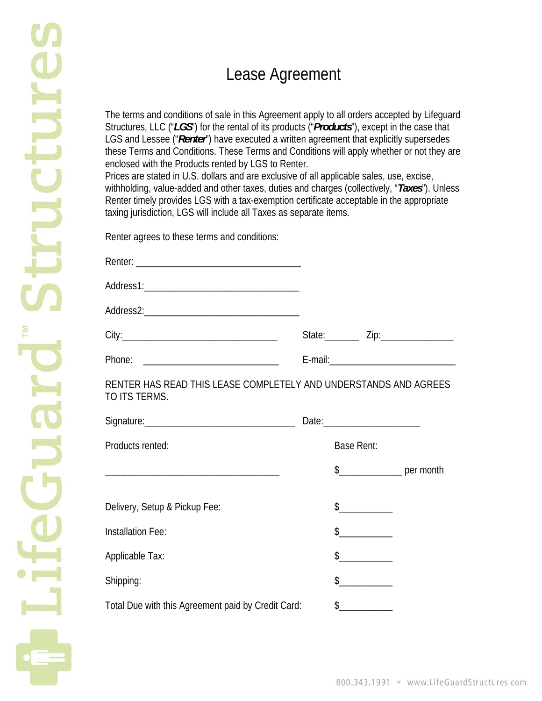## Lease Agreement

The terms and conditions of sale in this Agreement apply to all orders accepted by Lifeguard Structures, LLC ("*LGS*") for the rental of its products ("*Products*"), except in the case that LGS and Lessee ("*Renter*") have executed a written agreement that explicitly supersedes these Terms and Conditions. These Terms and Conditions will apply whether or not they are enclosed with the Products rented by LGS to Renter.

Prices are stated in U.S. dollars and are exclusive of all applicable sales, use, excise, withholding, value-added and other taxes, duties and charges (collectively, "*Taxes*"). Unless Renter timely provides LGS with a tax-exemption certificate acceptable in the appropriate taxing jurisdiction, LGS will include all Taxes as separate items.

Renter agrees to these terms and conditions:

| RENTER HAS READ THIS LEASE COMPLETELY AND UNDERSTANDS AND AGREES<br>TO ITS TERMS. |                                                                                                                                                                                                                                                                                                                                                                                                                                                                                                                                                                                                                                                                                                                                                            |
|-----------------------------------------------------------------------------------|------------------------------------------------------------------------------------------------------------------------------------------------------------------------------------------------------------------------------------------------------------------------------------------------------------------------------------------------------------------------------------------------------------------------------------------------------------------------------------------------------------------------------------------------------------------------------------------------------------------------------------------------------------------------------------------------------------------------------------------------------------|
|                                                                                   | Date:__________________________                                                                                                                                                                                                                                                                                                                                                                                                                                                                                                                                                                                                                                                                                                                            |
| Products rented:                                                                  | <b>Base Rent:</b>                                                                                                                                                                                                                                                                                                                                                                                                                                                                                                                                                                                                                                                                                                                                          |
|                                                                                   | $\frac{1}{2}$ per month                                                                                                                                                                                                                                                                                                                                                                                                                                                                                                                                                                                                                                                                                                                                    |
|                                                                                   |                                                                                                                                                                                                                                                                                                                                                                                                                                                                                                                                                                                                                                                                                                                                                            |
| Delivery, Setup & Pickup Fee:                                                     | $\begin{array}{c} \n \updownarrow \quad \quad \downarrow \quad \quad \downarrow \quad \quad \downarrow \quad \quad \downarrow \quad \quad \downarrow \quad \quad \downarrow \quad \quad \downarrow \quad \downarrow \quad \downarrow \quad \downarrow \quad \downarrow \quad \downarrow \quad \downarrow \quad \downarrow \quad \downarrow \quad \downarrow \quad \downarrow \quad \downarrow \quad \downarrow \quad \downarrow \quad \downarrow \quad \downarrow \quad \downarrow \quad \downarrow \quad \downarrow \quad \downarrow \quad \downarrow \quad \downarrow \quad \downarrow \quad \downarrow \quad \downarrow \quad \downarrow \quad \downarrow \quad \downarrow \quad \downarrow \quad \downarrow \quad \downarrow \quad \downarrow \quad \$ |
| Installation Fee:                                                                 | $\updownarrow$                                                                                                                                                                                                                                                                                                                                                                                                                                                                                                                                                                                                                                                                                                                                             |
| Applicable Tax:                                                                   | $\begin{array}{c} \n \updownarrow \quad \quad \updownarrow \quad \quad \quad \updownarrow \quad \quad \downarrow \quad \quad \downarrow \quad \quad \downarrow \quad \quad \downarrow \quad \quad \downarrow \quad \quad \downarrow \quad \quad \downarrow \quad \quad \downarrow \quad \downarrow \quad \downarrow \quad \downarrow \quad \downarrow \quad \downarrow \quad \downarrow \quad \downarrow \quad \downarrow \quad \downarrow \quad \downarrow \quad \downarrow \quad \downarrow \quad \downarrow \quad \downarrow \quad \downarrow \quad \downarrow \quad \downarrow \quad \downarrow \quad \downarrow \quad \downarrow \quad \downarrow \quad \downarrow \quad \downarrow \quad \downarrow \quad \downarrow \quad \downarrow \quad \$       |
| Shipping:                                                                         | $\begin{picture}(20,20) \put(0,0){\line(1,0){10}} \put(15,0){\line(1,0){10}} \put(15,0){\line(1,0){10}} \put(15,0){\line(1,0){10}} \put(15,0){\line(1,0){10}} \put(15,0){\line(1,0){10}} \put(15,0){\line(1,0){10}} \put(15,0){\line(1,0){10}} \put(15,0){\line(1,0){10}} \put(15,0){\line(1,0){10}} \put(15,0){\line(1,0){10}} \put(15,0){\line(1$                                                                                                                                                                                                                                                                                                                                                                                                        |
| Total Due with this Agreement paid by Credit Card:                                | $\frac{1}{2}$                                                                                                                                                                                                                                                                                                                                                                                                                                                                                                                                                                                                                                                                                                                                              |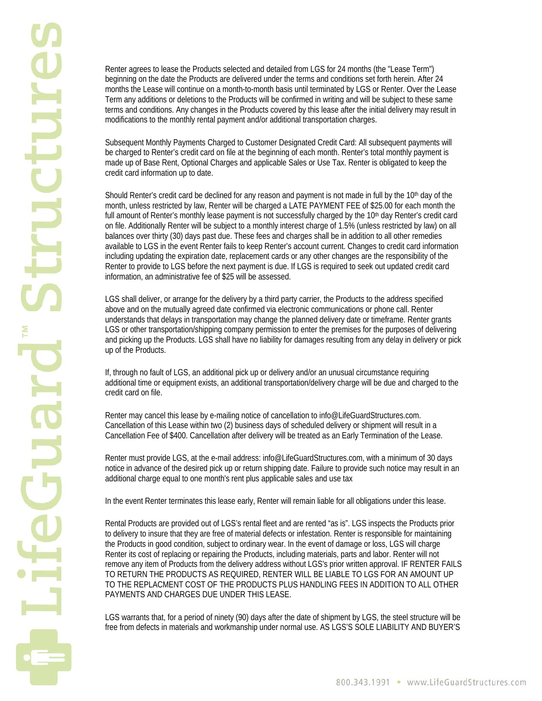Renter agrees to lease the Products selected and detailed from LGS for 24 months (the "Lease Term") beginning on the date the Products are delivered under the terms and conditions set forth herein. After 24 months the Lease will continue on a month-to-month basis until terminated by LGS or Renter. Over the Lease Term any additions or deletions to the Products will be confirmed in writing and will be subject to these same terms and conditions. Any changes in the Products covered by this lease after the initial delivery may result in modifications to the monthly rental payment and/or additional transportation charges.

Subsequent Monthly Payments Charged to Customer Designated Credit Card: All subsequent payments will be charged to Renter's credit card on file at the beginning of each month. Renter's total monthly payment is made up of Base Rent, Optional Charges and applicable Sales or Use Tax. Renter is obligated to keep the credit card information up to date.

Should Renter's credit card be declined for any reason and payment is not made in full by the 10<sup>th</sup> day of the month, unless restricted by law, Renter will be charged a LATE PAYMENT FEE of \$25.00 for each month the full amount of Renter's monthly lease payment is not successfully charged by the 10<sup>th</sup> day Renter's credit card on file. Additionally Renter will be subject to a monthly interest charge of 1.5% (unless restricted by law) on all balances over thirty (30) days past due. These fees and charges shall be in addition to all other remedies available to LGS in the event Renter fails to keep Renter's account current. Changes to credit card information including updating the expiration date, replacement cards or any other changes are the responsibility of the Renter to provide to LGS before the next payment is due. If LGS is required to seek out updated credit card information, an administrative fee of \$25 will be assessed.

LGS shall deliver, or arrange for the delivery by a third party carrier, the Products to the address specified above and on the mutually agreed date confirmed via electronic communications or phone call. Renter understands that delays in transportation may change the planned delivery date or timeframe. Renter grants LGS or other transportation/shipping company permission to enter the premises for the purposes of delivering and picking up the Products. LGS shall have no liability for damages resulting from any delay in delivery or pick up of the Products.

If, through no fault of LGS, an additional pick up or delivery and/or an unusual circumstance requiring additional time or equipment exists, an additional transportation/delivery charge will be due and charged to the credit card on file.

Renter may cancel this lease by e-mailing notice of cancellation to info@LifeGuardStructures.com. Cancellation of this Lease within two (2) business days of scheduled delivery or shipment will result in a Cancellation Fee of \$400. Cancellation after delivery will be treated as an Early Termination of the Lease.

Renter must provide LGS, at the e-mail address: info@LifeGuardStructures.com, with a minimum of 30 days notice in advance of the desired pick up or return shipping date. Failure to provide such notice may result in an additional charge equal to one month's rent plus applicable sales and use tax

In the event Renter terminates this lease early, Renter will remain liable for all obligations under this lease.

Rental Products are provided out of LGS's rental fleet and are rented "as is". LGS inspects the Products prior to delivery to insure that they are free of material defects or infestation. Renter is responsible for maintaining the Products in good condition, subject to ordinary wear. In the event of damage or loss, LGS will charge Renter its cost of replacing or repairing the Products, including materials, parts and labor. Renter will not remove any item of Products from the delivery address without LGS's prior written approval. IF RENTER FAILS TO RETURN THE PRODUCTS AS REQUIRED, RENTER WILL BE LIABLE TO LGS FOR AN AMOUNT UP TO THE REPLACMENT COST OF THE PRODUCTS PLUS HANDLING FEES IN ADDITION TO ALL OTHER PAYMENTS AND CHARGES DUE UNDER THIS LEASE.

LGS warrants that, for a period of ninety (90) days after the date of shipment by LGS, the steel structure will be free from defects in materials and workmanship under normal use. AS LGS'S SOLE LIABILITY AND BUYER'S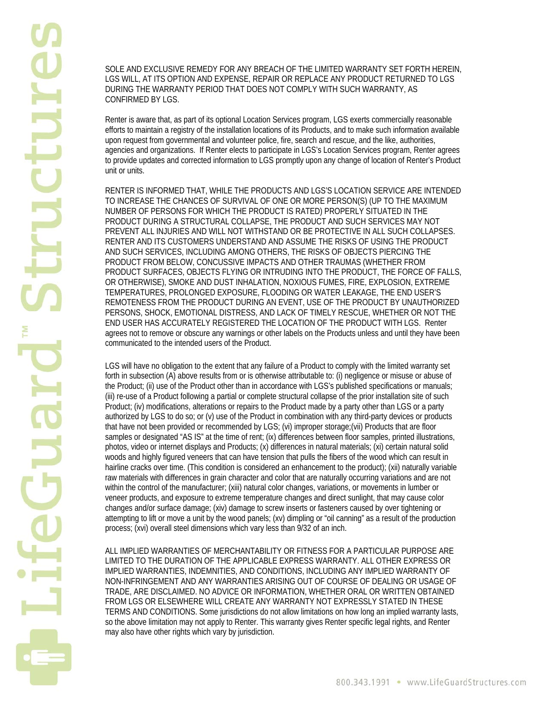SOLE AND EXCLUSIVE REMEDY FOR ANY BREACH OF THE LIMITED WARRANTY SET FORTH HEREIN, LGS WILL, AT ITS OPTION AND EXPENSE, REPAIR OR REPLACE ANY PRODUCT RETURNED TO LGS DURING THE WARRANTY PERIOD THAT DOES NOT COMPLY WITH SUCH WARRANTY, AS CONFIRMED BY LGS.

Renter is aware that, as part of its optional Location Services program, LGS exerts commercially reasonable efforts to maintain a registry of the installation locations of its Products, and to make such information available upon request from governmental and volunteer police, fire, search and rescue, and the like, authorities, agencies and organizations. If Renter elects to participate in LGS's Location Services program, Renter agrees to provide updates and corrected information to LGS promptly upon any change of location of Renter's Product unit or units.

RENTER IS INFORMED THAT, WHILE THE PRODUCTS AND LGS'S LOCATION SERVICE ARE INTENDED TO INCREASE THE CHANCES OF SURVIVAL OF ONE OR MORE PERSON(S) (UP TO THE MAXIMUM NUMBER OF PERSONS FOR WHICH THE PRODUCT IS RATED) PROPERLY SITUATED IN THE PRODUCT DURING A STRUCTURAL COLLAPSE, THE PRODUCT AND SUCH SERVICES MAY NOT PREVENT ALL INJURIES AND WILL NOT WITHSTAND OR BE PROTECTIVE IN ALL SUCH COLLAPSES. RENTER AND ITS CUSTOMERS UNDERSTAND AND ASSUME THE RISKS OF USING THE PRODUCT AND SUCH SERVICES, INCLUDING AMONG OTHERS, THE RISKS OF OBJECTS PIERCING THE PRODUCT FROM BELOW, CONCUSSIVE IMPACTS AND OTHER TRAUMAS (WHETHER FROM PRODUCT SURFACES, OBJECTS FLYING OR INTRUDING INTO THE PRODUCT, THE FORCE OF FALLS, OR OTHERWISE), SMOKE AND DUST INHALATION, NOXIOUS FUMES, FIRE, EXPLOSION, EXTREME TEMPERATURES, PROLONGED EXPOSURE, FLOODING OR WATER LEAKAGE, THE END USER'S REMOTENESS FROM THE PRODUCT DURING AN EVENT, USE OF THE PRODUCT BY UNAUTHORIZED PERSONS, SHOCK, EMOTIONAL DISTRESS, AND LACK OF TIMELY RESCUE, WHETHER OR NOT THE END USER HAS ACCURATELY REGISTERED THE LOCATION OF THE PRODUCT WITH LGS. Renter agrees not to remove or obscure any warnings or other labels on the Products unless and until they have been communicated to the intended users of the Product.

LGS will have no obligation to the extent that any failure of a Product to comply with the limited warranty set forth in subsection (A) above results from or is otherwise attributable to: (i) negligence or misuse or abuse of the Product; (ii) use of the Product other than in accordance with LGS's published specifications or manuals; (iii) re-use of a Product following a partial or complete structural collapse of the prior installation site of such Product; (iv) modifications, alterations or repairs to the Product made by a party other than LGS or a party authorized by LGS to do so; or (v) use of the Product in combination with any third-party devices or products that have not been provided or recommended by LGS; (vi) improper storage;(vii) Products that are floor samples or designated "AS IS" at the time of rent; (ix) differences between floor samples, printed illustrations, photos, video or internet displays and Products; (x) differences in natural materials; (xi) certain natural solid woods and highly figured veneers that can have tension that pulls the fibers of the wood which can result in hairline cracks over time. (This condition is considered an enhancement to the product); (xii) naturally variable raw materials with differences in grain character and color that are naturally occurring variations and are not within the control of the manufacturer; (xiii) natural color changes, variations, or movements in lumber or veneer products, and exposure to extreme temperature changes and direct sunlight, that may cause color changes and/or surface damage; (xiv) damage to screw inserts or fasteners caused by over tightening or attempting to lift or move a unit by the wood panels; (xv) dimpling or "oil canning" as a result of the production process; (xvi) overall steel dimensions which vary less than 9/32 of an inch.

ALL IMPLIED WARRANTIES OF MERCHANTABILITY OR FITNESS FOR A PARTICULAR PURPOSE ARE LIMITED TO THE DURATION OF THE APPLICABLE EXPRESS WARRANTY. ALL OTHER EXPRESS OR IMPLIED WARRANTIES, INDEMNITIES, AND CONDITIONS, INCLUDING ANY IMPLIED WARRANTY OF NON-INFRINGEMENT AND ANY WARRANTIES ARISING OUT OF COURSE OF DEALING OR USAGE OF TRADE, ARE DISCLAIMED. NO ADVICE OR INFORMATION, WHETHER ORAL OR WRITTEN OBTAINED FROM LGS OR ELSEWHERE WILL CREATE ANY WARRANTY NOT EXPRESSLY STATED IN THESE TERMS AND CONDITIONS. Some jurisdictions do not allow limitations on how long an implied warranty lasts, so the above limitation may not apply to Renter. This warranty gives Renter specific legal rights, and Renter may also have other rights which vary by jurisdiction.